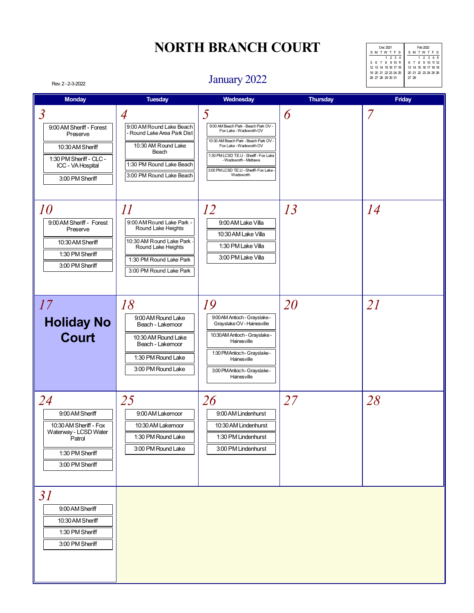| Feb 2022             |
|----------------------|
| SMTWTFS              |
| 1 2 3 4 5            |
| 6 7 8 9 10 11 12     |
| 13 14 15 16 17 18 19 |
| 20 21 22 23 24 25 26 |
| 27 28                |
|                      |
|                      |

#### January 2022

| <b>Monday</b>                                                                                                                                 | <b>Tuesday</b>                                                                                                                                                        | Wednesday                                                                                                                                                                                                                                                           | <b>Thursday</b> | Friday         |
|-----------------------------------------------------------------------------------------------------------------------------------------------|-----------------------------------------------------------------------------------------------------------------------------------------------------------------------|---------------------------------------------------------------------------------------------------------------------------------------------------------------------------------------------------------------------------------------------------------------------|-----------------|----------------|
| $\overline{3}$<br>9:00 AM Sheriff - Forest<br>Preserve<br>10:30 AM Sheriff<br>1:30 PM Sheriff - CLC -<br>ICC - VA Hospital<br>3:00 PM Sheriff | $\overline{A}$<br>9:00 AM Round Lake Beach<br>- Round Lake Area Park Dist<br>10:30 AM Round Lake<br>Beach<br>1:30 PM Round Lake Beach<br>3:00 PM Round Lake Beach     | 5<br>9:00 AM Beach Park - Beach Park OV -<br>Fox Lake - Wadsworth OV<br>10:30 AM Beach Park - Beach Park OV -<br>Fox Lake - Wadsworth OV<br>1:30 PM LCSD T.E.U - Sheriff - Fox Lake<br>- Wadsworth - Mettawa<br>3:00 PM LCSD T.E.U - Sheriff- Fox Lake<br>Wadsworth | 6               | $\overline{7}$ |
| 10<br>9:00 AM Sheriff - Forest<br>Preserve<br>10:30 AM Sheriff<br>1:30 PM Sheriff<br>3:00 PM Sheriff                                          | $\varPi$<br>9:00 AM Round Lake Park -<br>Round Lake Heights<br>10:30 AM Round Lake Park -<br>Round Lake Heights<br>1:30 PM Round Lake Park<br>3:00 PM Round Lake Park | 12<br>9:00 AM Lake Villa<br>10:30 AM Lake Villa<br>1:30 PM Lake Villa<br>3:00 PM Lake Villa                                                                                                                                                                         | 13              | 14             |
| 17<br><b>Holiday No</b><br><b>Court</b>                                                                                                       | 18<br>9:00 AM Round Lake<br>Beach - Lakemoor<br>10:30 AM Round Lake<br>Beach - Lakemoor<br>1:30 PM Round Lake<br>3:00 PM Round Lake                                   | 19<br>9:00 AM Antioch - Grayslake -<br>Grayslake OV - Hainesville<br>10:30 AM Antioch - Grayslake -<br>Hainesville<br>1:30 PM Antioch - Grayslake -<br>Hainesville<br>3:00 PM Antioch - Grayslake -<br>Hainesville                                                  | 20              | 21             |
| 24<br>9:00 AM Sheriff<br>10:30 AM Sheriff - Fox<br>Waterway - LCSD Water<br>Patrol<br>1:30 PM Sheriff<br>3:00 PM Sheriff                      | 25<br>9:00 AM Lakemoor<br>10:30 AM Lakemoor<br>1:30 PM Round Lake<br>3:00 PM Round Lake                                                                               | 26<br>9:00 AM Lindenhurst<br>10:30 AM Lindenhurst<br>1:30 PM Lindenhurst<br>3:00 PM Lindenhurst                                                                                                                                                                     | 27              | 28             |
| 31<br>9:00 AM Sheriff<br>10:30 AM Sheriff<br>1:30 PM Sheriff<br>3:00 PM Sheriff                                                               |                                                                                                                                                                       |                                                                                                                                                                                                                                                                     |                 |                |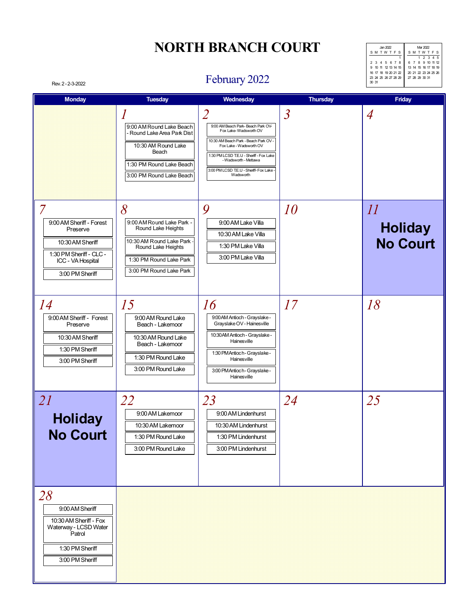| $\tan 2022$          | Mar 2022             |
|----------------------|----------------------|
| <b>SMTWTFS</b>       | <b>SMTWTFS</b>       |
|                      | 1 2 3 4 5            |
| 2 3 4 5 6 7 8        | 6 7 8 9 10 11 12     |
| 9 10 11 12 13 14 15  | 13 14 15 16 17 18 19 |
| 16 17 18 19 20 21 22 | 20 21 22 23 24 25 26 |
| 23 24 25 26 27 28 29 | 27 28 29 30 31       |
| 30 31                |                      |

#### Rev. 2 - 2-3-2022 **February 2022**

| <b>Monday</b>                                                                                                                                 | <b>Tuesday</b>                                                                                                                                               | Wednesday                                                                                                                                                                                                                                                      | <b>Thursday</b>          | <b>Friday</b>                                                 |
|-----------------------------------------------------------------------------------------------------------------------------------------------|--------------------------------------------------------------------------------------------------------------------------------------------------------------|----------------------------------------------------------------------------------------------------------------------------------------------------------------------------------------------------------------------------------------------------------------|--------------------------|---------------------------------------------------------------|
|                                                                                                                                               | 1<br>9:00 AM Round Lake Beach<br>- Round Lake Area Park Dist<br>10:30 AM Round Lake<br>Beach<br>1:30 PM Round Lake Beach<br>3:00 PM Round Lake Beach         | 2<br>9:00 AM Beach Park-Beach Park OV-<br>Fox Lake-Wadsworth OV<br>10:30 AM Beach Park - Beach Park OV -<br>Fox Lake - Wadsworth OV<br>1:30 PM LCSD T.E.U - Sheriff - Fox Lake<br>- Wadsworth - Mettawa<br>3:00 PM LCSD T.E.U - Sheriff- Fox Lake<br>Wadsworth | $\overline{\mathcal{S}}$ | $\overline{A}$                                                |
| $\overline{7}$<br>9:00 AM Sheriff - Forest<br>Preserve<br>10:30 AM Sheriff<br>1:30 PM Sheriff - CLC -<br>ICC - VA Hospital<br>3:00 PM Sheriff | 8<br>9:00 AM Round Lake Park -<br>Round Lake Heights<br>10:30 AM Round Lake Park<br>Round Lake Heights<br>1:30 PM Round Lake Park<br>3:00 PM Round Lake Park | 9<br>9:00 AM Lake Villa<br>10:30 AM Lake Villa<br>1:30 PM Lake Villa<br>3:00 PM Lake Villa                                                                                                                                                                     | 10                       | $\overline{\mathcal{U}}$<br><b>Holiday</b><br><b>No Court</b> |
| 14<br>9:00 AM Sheriff - Forest<br>Preserve<br>10:30 AM Sheriff<br>1:30 PM Sheriff<br>3:00 PM Sheriff                                          | 15<br>9:00 AM Round Lake<br>Beach - Lakemoor<br>10:30 AM Round Lake<br>Beach - Lakemoor<br>1:30 PM Round Lake<br>3:00 PM Round Lake                          | 16<br>9:00 AM Antioch - Grayslake -<br>Grayslake OV - Hainesville<br>10:30 AM Antioch - Grayslake -<br>Hainesville<br>1:30 PM Antioch - Grayslake -<br>Hainesville<br>3:00 PM Antioch - Grayslake -<br>Hainesville                                             | 17                       | 18                                                            |
| 21<br><b>Holiday</b><br><b>No Court</b>                                                                                                       | 22<br>9:00 AM Lakemoor<br>10:30 AM Lakemoor<br>1:30 PM Round Lake<br>3:00 PM Round Lake                                                                      | 23<br>9:00 AM Lindenhurst<br>10:30 AM Lindenhurst<br>1:30 PM Lindenhurst<br>3:00 PM Lindenhurst                                                                                                                                                                | 24                       | 25                                                            |
| 28<br>9:00 AM Sheriff<br>10:30 AM Sheriff - Fox<br>Waterway - LCSD Water<br>Patrol<br>1:30 PM Sheriff<br>3:00 PM Sheriff                      |                                                                                                                                                              |                                                                                                                                                                                                                                                                |                          |                                                               |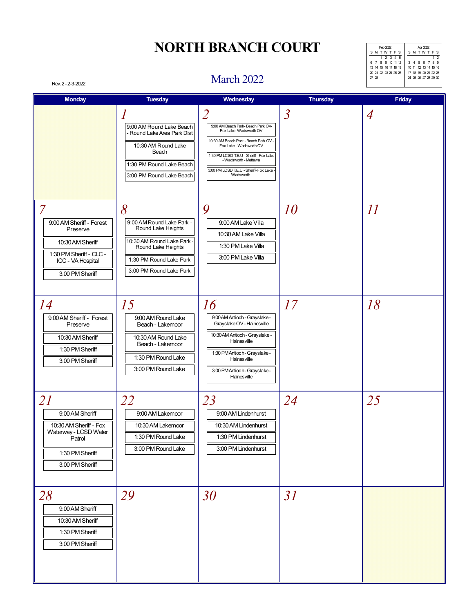| Feb 2022             | Apr 2022             |
|----------------------|----------------------|
| <b>SMTWTFS</b>       | SMTWTFS              |
| 1 2 3 4 5            |                      |
| 6 7 8 9 10 11 12     | 3 4 5 6 7 8 9        |
| 13 14 15 16 17 18 19 | 10 11 12 13 14 15 16 |
| 20 21 22 23 24 25 26 | 17 18 19 20 21 22 23 |
| 27 28                | 24 25 26 27 28 29 30 |
|                      |                      |
|                      |                      |

#### March 2022

| <b>Monday</b>                                                                                                                                 | <b>Tuesday</b>                                                                                                                                               | Wednesday                                                                                                                                                                                                                                                                                | <b>Thursday</b> | Friday         |
|-----------------------------------------------------------------------------------------------------------------------------------------------|--------------------------------------------------------------------------------------------------------------------------------------------------------------|------------------------------------------------------------------------------------------------------------------------------------------------------------------------------------------------------------------------------------------------------------------------------------------|-----------------|----------------|
|                                                                                                                                               | 1<br>9:00 AM Round Lake Beach<br>- Round Lake Area Park Dist<br>10:30 AM Round Lake<br>Beach<br>1:30 PM Round Lake Beach<br>3:00 PM Round Lake Beach         | $\overline{\mathcal{L}}$<br>9:00 AM Beach Park- Beach Park OV-<br>Fox Lake-Wadsworth OV<br>10:30 AM Beach Park - Beach Park OV -<br>Fox Lake - Wadsworth OV<br>1:30 PM LCSD T.E.U - Sheriff - Fox Lake<br>- Wadsworth - Mettawa<br>3:00 PM LCSD T.E.U - Sheriff- Fox Lake -<br>Wadsworth | $\overline{3}$  | $\overline{A}$ |
| $\overline{7}$<br>9:00 AM Sheriff - Forest<br>Preserve<br>10:30 AM Sheriff<br>1:30 PM Sheriff - CLC -<br>ICC - VA Hospital<br>3:00 PM Sheriff | 8<br>9:00 AM Round Lake Park -<br>Round Lake Heights<br>10:30 AM Round Lake Park<br>Round Lake Heights<br>1:30 PM Round Lake Park<br>3:00 PM Round Lake Park | 9<br>9:00 AM Lake Villa<br>10:30 AM Lake Villa<br>1:30 PM Lake Villa<br>3:00 PM Lake Villa                                                                                                                                                                                               | 10              | $\varPi$       |
| 14<br>9:00 AM Sheriff - Forest<br>Preserve<br>10:30 AM Sheriff<br>1:30 PM Sheriff<br>3:00 PM Sheriff                                          | 15<br>9:00 AM Round Lake<br>Beach - Lakemoor<br>10:30 AM Round Lake<br>Beach - Lakemoor<br>1:30 PM Round Lake<br>3:00 PM Round Lake                          | 16<br>9:00 AM Antioch - Grayslake -<br>Grayslake OV - Hainesville<br>10:30 AM Antioch - Grayslake -<br>Hainesville<br>1:30 PM Antioch - Grayslake -<br>Hainesville<br>3:00 PM Antioch - Grayslake -<br>Hainesville                                                                       | 17              | 18             |
| 21<br>9:00 AM Sheriff<br>10:30 AM Sheriff - Fox<br>Waterway - LCSD Water<br>Patrol<br>1:30 PM Sheriff<br>3:00 PM Sheriff                      | 22<br>9:00 AM Lakemoor<br>10:30 AM Lakemoor<br>1:30 PM Round Lake<br>3:00 PM Round Lake                                                                      | 23<br>9:00 AM Lindenhurst<br>10:30 AM Lindenhurst<br>1:30 PM Lindenhurst<br>3:00 PM Lindenhurst                                                                                                                                                                                          | 24              | 25             |
| 28<br>9:00 AM Sheriff<br>10:30 AM Sheriff<br>1:30 PM Sheriff<br>3:00 PM Sheriff                                                               | 29                                                                                                                                                           | 30                                                                                                                                                                                                                                                                                       | 31              |                |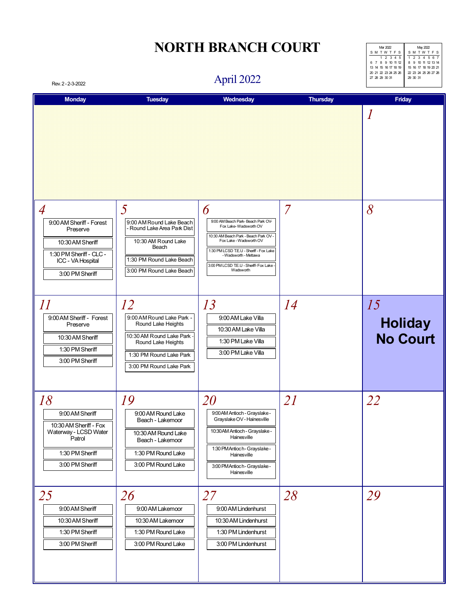| Mar 2022             | May 2022             |
|----------------------|----------------------|
| SMTWTFS              | <b>SMTWTFS</b>       |
| 1 2 3 4 5            | 1 2 3 4 5 6 7        |
| 6 7 8 9 10 11 12     | 8 9 10 11 12 13 14   |
| 13 14 15 16 17 18 19 | 15 16 17 18 19 20 21 |
| 20 21 22 23 24 25 26 | 22 23 24 25 26 27 28 |
| 27 28 29 30 31       | 29 30 31             |
|                      |                      |

#### April 2022

| Rev. 2 - 2-3-2022                                                                                                                             |                                                                                                                                                               | April 2022                                                                                                                                                                                                                                                       |                | 21 20 29 JU JI<br>اد سدت                |
|-----------------------------------------------------------------------------------------------------------------------------------------------|---------------------------------------------------------------------------------------------------------------------------------------------------------------|------------------------------------------------------------------------------------------------------------------------------------------------------------------------------------------------------------------------------------------------------------------|----------------|-----------------------------------------|
| <b>Monday</b>                                                                                                                                 | <b>Tuesday</b>                                                                                                                                                | Wednesday                                                                                                                                                                                                                                                        | Thursday       | Friday<br>$\boldsymbol{l}$              |
| $\overline{A}$<br>9:00 AM Sheriff - Forest<br>Preserve<br>10:30 AM Sheriff<br>1:30 PM Sheriff - CLC -<br>ICC - VA Hospital<br>3:00 PM Sheriff | 5<br>9:00 AM Round Lake Beach<br>- Round Lake Area Park Dist<br>10:30 AM Round Lake<br>Beach<br>1:30 PM Round Lake Beach<br>3:00 PM Round Lake Beach          | 6<br>9:00 AM Beach Park-Beach Park OV-<br>Fox Lake-Wadsworth OV<br>10:30 AM Beach Park - Beach Park OV -<br>Fox Lake - Wadsworth OV<br>1:30 PM LCSD T.E.U - Sheriff - Fox Lake<br>- Wadsworth - Mettawa<br>3:00 PM LCSD T.E.U - Sheriff- Fox Lake -<br>Wadsworth | $\overline{7}$ | 8                                       |
| $\varPi$<br>9:00 AM Sheriff - Forest<br>Preserve<br>10:30 AM Sheriff<br>1:30 PM Sheriff<br>3:00 PM Sheriff                                    | 12<br>9:00 AM Round Lake Park -<br>Round Lake Heights<br>10:30 AM Round Lake Park<br>Round Lake Heights<br>1:30 PM Round Lake Park<br>3:00 PM Round Lake Park | 13<br>9:00 AM Lake Villa<br>10:30 AM Lake Villa<br>1:30 PM Lake Villa<br>3:00 PM Lake Villa                                                                                                                                                                      | 14             | 15<br><b>Holiday</b><br><b>No Court</b> |
| 18<br>9:00 AM Sheriff<br>10:30 AM Sheriff - Fox<br>Waterway - LCSD Water<br>Patrol<br>1:30 PM Sheriff<br>3:00 PM Sheriff                      | 19<br>9:00 AM Round Lake<br>Beach - Lakemoor<br>10:30 AM Round Lake<br>Beach - Lakemoor<br>1:30 PM Round Lake<br>3:00 PM Round Lake                           | 20<br>9:00 AM Antioch - Grayslake -<br>Grayslake OV - Hainesville<br>10:30 AM Antioch - Grayslake -<br>Hainesville<br>1:30 PM Antioch - Grayslake -<br>Hainesville<br>3:00 PM Antioch - Grayslake -<br>Hainesville                                               | 21             | 22                                      |
| 25<br>9:00 AM Sheriff<br>10:30 AM Sheriff<br>1:30 PM Sheriff<br>3:00 PM Sheriff                                                               | 26<br>9:00 AM Lakemoor<br>10:30 AM Lakemoor<br>1:30 PM Round Lake<br>3:00 PM Round Lake                                                                       | 27<br>9:00 AM Lindenhurst<br>10:30 AM Lindenhurst<br>1:30 PM Lindenhurst<br>3:00 PM Lindenhurst                                                                                                                                                                  | 28             | 29                                      |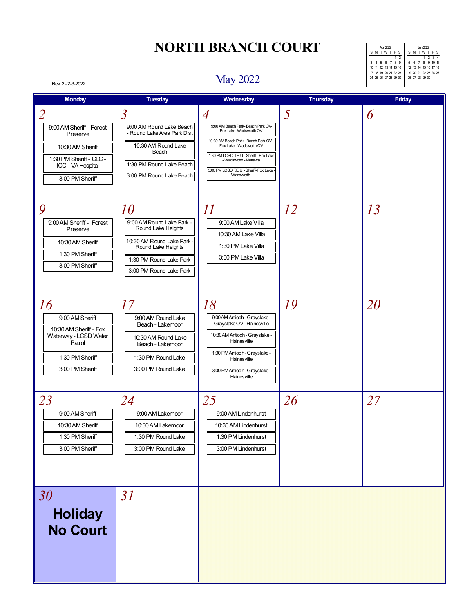| Apr 2022             | Jun 2022             |
|----------------------|----------------------|
| <b>SMTWTFS</b>       | SMTWTFS              |
| 12                   | 1 2 3 4              |
| 3 4 5 6 7 8 9        | 5 6 7 8 9 10 11      |
| 10 11 12 13 14 15 16 | 12 13 14 15 16 17 18 |
| 17 18 19 20 21 22 23 | 19 20 21 22 23 24 25 |
| 24 25 26 27 28 29 30 | 26 27 28 29 30       |
|                      |                      |
|                      |                      |

#### May 2022

| <b>Monday</b>                                                                                                               | <b>Tuesday</b>                                                                                                                                                | Wednesday                                                                                                                                                                                                                                                 | <b>Thursday</b> | Friday |
|-----------------------------------------------------------------------------------------------------------------------------|---------------------------------------------------------------------------------------------------------------------------------------------------------------|-----------------------------------------------------------------------------------------------------------------------------------------------------------------------------------------------------------------------------------------------------------|-----------------|--------|
| $\overline{2}$                                                                                                              | $\mathfrak{Z}$                                                                                                                                                | $\overline{A}$                                                                                                                                                                                                                                            | 5               | 6      |
| 9:00 AM Sheriff - Forest<br>Preserve<br>10:30 AM Sheriff<br>1:30 PM Sheriff - CLC -<br>ICC - VA Hospital<br>3:00 PM Sheriff | 9:00 AM Round Lake Beach<br>- Round Lake Area Park Dist<br>10:30 AM Round Lake<br>Beach<br>1:30 PM Round Lake Beach<br>3:00 PM Round Lake Beach               | 9:00 AM Beach Park-Beach Park OV-<br>Fox Lake-Wadsworth OV<br>10:30 AM Beach Park - Beach Park OV -<br>Fox Lake - Wadsworth OV<br>1:30 PM LCSD T.E.U - Sheriff - Fox Lake<br>- Wadsworth - Mettawa<br>3:00 PM LCSD T.E.U - Sheriff- Fox Lake<br>Wadsworth |                 |        |
| 9<br>9:00 AM Sheriff - Forest<br>Preserve<br>10:30 AM Sheriff<br>1:30 PM Sheriff<br>3:00 PM Sheriff                         | 10<br>9:00 AM Round Lake Park -<br>Round Lake Heights<br>10:30 AM Round Lake Park<br>Round Lake Heights<br>1:30 PM Round Lake Park<br>3:00 PM Round Lake Park | $\varPi$<br>9:00 AM Lake Villa<br>10:30 AM Lake Villa<br>1:30 PM Lake Villa<br>3:00 PM Lake Villa                                                                                                                                                         | 12              | 13     |
| 16<br>9:00 AM Sheriff<br>10:30 AM Sheriff - Fox<br>Waterway - LCSD Water<br>Patrol<br>1:30 PM Sheriff<br>3:00 PM Sheriff    | 17<br>9:00 AM Round Lake<br>Beach - Lakemoor<br>10:30 AM Round Lake<br>Beach - Lakemoor<br>1:30 PM Round Lake<br>3:00 PM Round Lake                           | 18<br>9:00 AM Antioch - Grayslake -<br>Grayslake OV - Hainesville<br>10:30 AM Antioch - Grayslake -<br>Hainesville<br>1:30 PM Antioch - Grayslake -<br>Hainesville<br>3:00 PM Antioch - Grayslake -<br>Hainesville                                        | 19              | 20     |
| 23<br>9:00 AM Sheriff<br>10:30 AM Sheriff<br>1:30 PM Sheriff<br>3:00 PM Sheriff                                             | 24<br>9:00 AM Lakemoor<br>10:30 AM Lakemoor<br>1:30 PM Round Lake<br>3:00 PM Round Lake                                                                       | 25<br>9:00 AM Lindenhurst<br>10:30 AM Lindenhurst<br>1:30 PM Lindenhurst<br>3:00 PM Lindenhurst                                                                                                                                                           | 26              | 27     |
| 30<br><b>Holiday</b><br><b>No Court</b>                                                                                     | 31                                                                                                                                                            |                                                                                                                                                                                                                                                           |                 |        |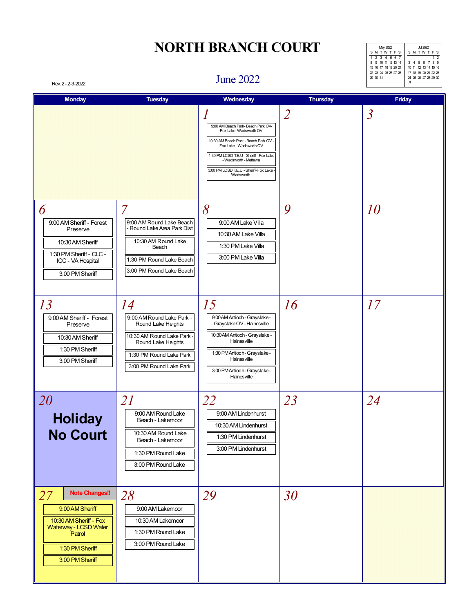| May 2022             | J <sub>II</sub> 2022 |
|----------------------|----------------------|
| <b>SMTWTFS</b>       | <b>SMTWTFS</b>       |
| 1 2 3 4 5 6 7        | 2                    |
| 8 9 10 11 12 13 14   | 3 4 5 6 7 8 9        |
| 15 16 17 18 19 20 21 | 10 11 12 13 14 15 16 |
| 22 23 24 25 26 27 28 | 17 18 19 20 21 22 23 |
| 29 30 31             | 24 25 26 27 28 29 30 |
|                      | 31                   |

#### June 2022

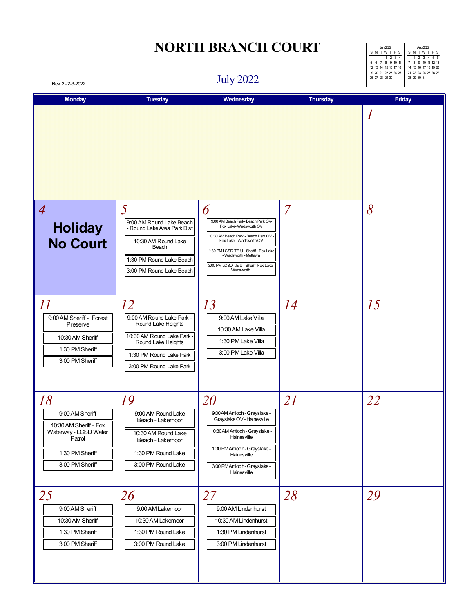| $\ln 2022$           | Aug 2022             |
|----------------------|----------------------|
| SMTWTFS              | SMTWTFS              |
| 1234                 | 1 2 3 4 5 6          |
| 5 6 7 8 9 10 11      | 7 8 9 10 11 12 13    |
| 12 13 14 15 16 17 18 | 14 15 16 17 18 19 20 |
| 19 20 21 22 23 24 25 | 21 22 23 24 25 26 27 |
| 26 27 28 29 30       | 28 29 30 31          |
|                      |                      |
|                      |                      |

July 2022

| Rev. 2 - 2-3-2022                                                                                                        |                                                                                                                                                                 | JULY ZUZZ                                                                                                                                                                                                                                                         |                 |               |
|--------------------------------------------------------------------------------------------------------------------------|-----------------------------------------------------------------------------------------------------------------------------------------------------------------|-------------------------------------------------------------------------------------------------------------------------------------------------------------------------------------------------------------------------------------------------------------------|-----------------|---------------|
| <b>Monday</b>                                                                                                            | <b>Tuesday</b>                                                                                                                                                  | Wednesday                                                                                                                                                                                                                                                         | <b>Thursday</b> | <b>Friday</b> |
|                                                                                                                          |                                                                                                                                                                 |                                                                                                                                                                                                                                                                   |                 | 1             |
| $\overline{A}$<br><b>Holiday</b><br><b>No Court</b>                                                                      | 5<br>9:00 AM Round Lake Beach<br>- Round Lake Area Park Dist<br>10:30 AM Round Lake<br>Beach<br>1:30 PM Round Lake Beach<br>3:00 PM Round Lake Beach            | 6<br>9:00 AM Beach Park- Beach Park OV-<br>Fox Lake-Wadsworth OV<br>10:30 AM Beach Park - Beach Park OV -<br>Fox Lake - Wadsworth OV<br>1:30 PM LCSD T.E.U - Sheriff - Fox Lake<br>- Wadsworth - Mettawa<br>3:00 PM LCSD T.E.U - Sheriff- Fox Lake -<br>Wadsworth | $\overline{7}$  | 8             |
| $\varPi$<br>9:00 AM Sheriff - Forest<br>Preserve<br>10:30 AM Sheriff<br>1:30 PM Sheriff<br>3:00 PM Sheriff               | 12<br>9:00 AM Round Lake Park -<br>Round Lake Heights<br>10:30 AM Round Lake Park -<br>Round Lake Heights<br>1:30 PM Round Lake Park<br>3:00 PM Round Lake Park | 13<br>9:00 AM Lake Villa<br>10:30 AM Lake Villa<br>1:30 PM Lake Villa<br>3:00 PM Lake Villa                                                                                                                                                                       | 14              | 15            |
| 18<br>9:00 AM Sheriff<br>10:30 AM Sheriff - Fox<br>Waterway - LCSD Water<br>Patrol<br>1:30 PM Sheriff<br>3:00 PM Sheriff | 19<br>9:00 AM Round Lake<br>Beach - Lakemoor<br>10:30 AM Round Lake<br>Beach - Lakemoor<br>1:30 PM Round Lake<br>3:00 PM Round Lake                             | 20<br>9:00 AM Antioch - Grayslake -<br>Grayslake OV - Hainesville<br>10:30 AM Antioch - Grayslake -<br>Hainesville<br>1:30 PM Antioch - Grayslake -<br>Hainesville<br>3:00 PM Antioch - Grayslake -<br>Hainesville                                                | 21              | 22            |
| 25<br>9:00 AM Sheriff<br>10:30 AM Sheriff<br>1:30 PM Sheriff<br>3:00 PM Sheriff                                          | 26<br>9:00 AM Lakemoor<br>10:30 AM Lakemoor<br>1:30 PM Round Lake<br>3:00 PM Round Lake                                                                         | 27<br>9:00 AM Lindenhurst<br>10:30 AM Lindenhurst<br>1:30 PM Lindenhurst<br>3:00 PM Lindenhurst                                                                                                                                                                   | 28              | 29            |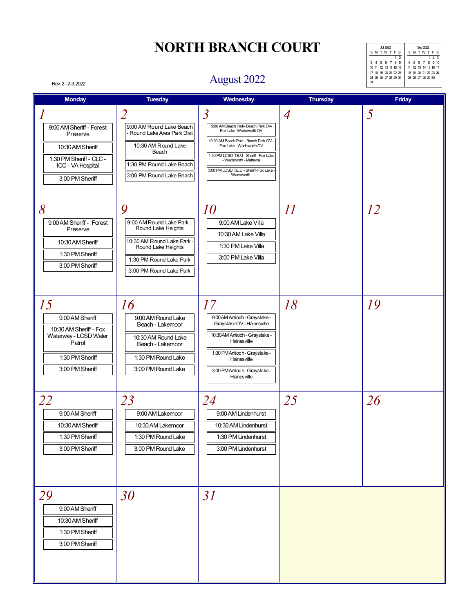| Jul 2022             | Sep 2022             |
|----------------------|----------------------|
| <b>SMTWTFS</b>       | SMTWTFS              |
| 12                   | 123                  |
| 3 4 5 6 7 8 9        | 4 5 6 7 8 9 10       |
| 10 11 12 13 14 15 16 | 11 12 13 14 15 16 17 |
| 17 18 19 20 21 22 23 | 18 19 20 21 22 23 24 |
| 24 25 26 27 28 29 30 | 25 26 27 28 29 30    |
| 31                   |                      |
|                      |                      |

#### Rev. 2 - 2-3-2022 **August 2022**

| <b>Monday</b>                                                                                                                    | <b>Tuesday</b>                                                                                                                                                    | Wednesday                                                                                                                                                                                                                                                                   | <b>Thursday</b>           | Friday    |
|----------------------------------------------------------------------------------------------------------------------------------|-------------------------------------------------------------------------------------------------------------------------------------------------------------------|-----------------------------------------------------------------------------------------------------------------------------------------------------------------------------------------------------------------------------------------------------------------------------|---------------------------|-----------|
| 1<br>9:00 AM Sheriff - Forest<br>Preserve<br>10:30 AM Sheriff<br>1:30 PM Sheriff - CLC -<br>ICC - VA Hospital<br>3:00 PM Sheriff | $\overline{2}$<br>9:00 AM Round Lake Beach<br>- Round Lake Area Park Dist<br>10:30 AM Round Lake<br>Beach<br>1:30 PM Round Lake Beach<br>3:00 PM Round Lake Beach | $\overline{3}$<br>9:00 AM Beach Park-Beach Park OV-<br>Fox Lake-Wadsworth OV<br>10:30 AM Beach Park - Beach Park OV -<br>Fox Lake - Wadsworth OV<br>1:30 PM LCSD T.E.U - Sheriff - Fox Lake<br>- Wadsworth - Mettawa<br>3:00 PM LCSD T.E.U - Sheriff- Fox Lake<br>Wadsworth | $\overline{A}$            | 5         |
| 8<br>9:00 AM Sheriff - Forest<br>Preserve<br>10:30 AM Sheriff<br>1:30 PM Sheriff<br>3:00 PM Sheriff                              | 9<br>9:00 AM Round Lake Park -<br>Round Lake Heights<br>10:30 AM Round Lake Park<br>Round Lake Heights<br>1:30 PM Round Lake Park<br>3:00 PM Round Lake Park      | <i>10</i><br>9:00 AM Lake Villa<br>10:30 AM Lake Villa<br>1:30 PM Lake Villa<br>3:00 PM Lake Villa                                                                                                                                                                          | $\overline{\mathfrak{U}}$ | <i>12</i> |
| 15<br>9:00 AM Sheriff<br>10:30 AM Sheriff - Fox<br>Waterway - LCSD Water<br>Patrol<br>1:30 PM Sheriff<br>3:00 PM Sheriff         | 16<br>9:00 AM Round Lake<br>Beach - Lakemoor<br>10:30 AM Round Lake<br>Beach - Lakemoor<br>1:30 PM Round Lake<br>3:00 PM Round Lake                               | 17<br>9:00 AM Antioch - Grayslake -<br>Grayslake OV - Hainesville<br>10:30 AM Antioch - Grayslake -<br>Hainesville<br>1:30 PM Antioch - Grayslake -<br>Hainesville<br>3:00 PM Antioch - Grayslake -<br>Hainesville                                                          | 18                        | 19        |
| 22<br>9:00 AM Sheriff<br>10:30 AM Sheriff<br>1:30 PM Sheriff<br>3:00 PM Sheriff                                                  | 23<br>9:00 AM Lakemoor<br>10:30 AM Lakemoor<br>1:30 PM Round Lake<br>3:00 PM Round Lake                                                                           | 24<br>9:00 AM Lindenhurst<br>10:30 AM Lindenhurst<br>1:30 PM Lindenhurst<br>3:00 PM Lindenhurst                                                                                                                                                                             | 25                        | 26        |
| 29<br>9:00 AM Sheriff<br>10:30 AM Sheriff<br>1:30 PM Sheriff<br>3:00 PM Sheriff                                                  | 30                                                                                                                                                                | 31                                                                                                                                                                                                                                                                          |                           |           |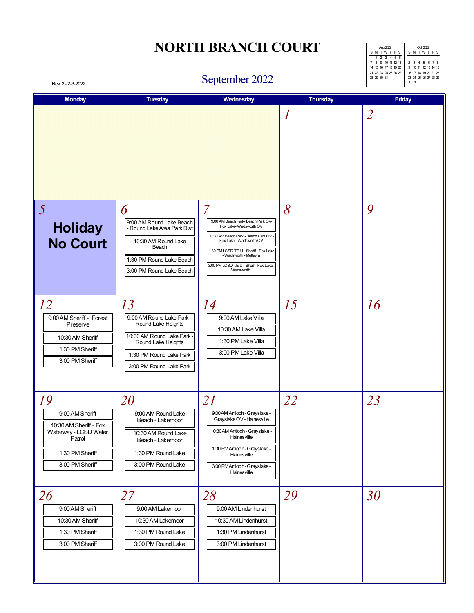| Aug 2022             | Oct 2022             |
|----------------------|----------------------|
| <b>SMTWTFS</b>       | <b>SMTWTFS</b>       |
| 1 2 3 4 5 6          |                      |
| 7 8 9 10 11 12 13    | 2 3 4 5 6 7 8        |
| 14 15 16 17 18 19 20 | 9 10 11 12 13 14 15  |
| 21 22 23 24 25 26 27 | 16 17 18 19 20 21 22 |
| 28 29 30 31          | 23 24 25 26 27 28 29 |
|                      | 30 31                |

### September 2022

| <b>Monday</b>                                                                                                            | <b>Tuesday</b>                                                                                                                                                | Wednesday                                                                                                                                                                                                                                                                      | <b>Thursday</b>  | Friday         |
|--------------------------------------------------------------------------------------------------------------------------|---------------------------------------------------------------------------------------------------------------------------------------------------------------|--------------------------------------------------------------------------------------------------------------------------------------------------------------------------------------------------------------------------------------------------------------------------------|------------------|----------------|
|                                                                                                                          |                                                                                                                                                               |                                                                                                                                                                                                                                                                                | $\boldsymbol{l}$ | $\overline{2}$ |
| $\overline{5}$<br><b>Holiday</b><br><b>No Court</b>                                                                      | 6<br>9:00 AM Round Lake Beach<br>- Round Lake Area Park Dist<br>10:30 AM Round Lake<br>Beach<br>1:30 PM Round Lake Beach<br>3:00 PM Round Lake Beach          | $\overline{7}$<br>9:00 AM Beach Park- Beach Park OV-<br>Fox Lake-Wadsworth OV<br>10:30 AM Beach Park - Beach Park OV -<br>Fox Lake - Wadsworth OV<br>1:30 PM LCSD T.E.U - Sheriff - Fox Lake<br>- Wadsworth - Mettawa<br>3:00 PM LCSD T.E.U - Sheriff- Fox Lake -<br>Wadsworth | 8                | 9              |
| 12<br>9:00 AM Sheriff - Forest<br>Preserve<br>10:30 AM Sheriff<br>1:30 PM Sheriff<br>3:00 PM Sheriff                     | 13<br>9:00 AM Round Lake Park -<br>Round Lake Heights<br>10:30 AM Round Lake Park<br>Round Lake Heights<br>1:30 PM Round Lake Park<br>3:00 PM Round Lake Park | 14<br>9:00 AM Lake Villa<br>10:30 AM Lake Villa<br>1:30 PM Lake Villa<br>3:00 PM Lake Villa                                                                                                                                                                                    | 15               | 16             |
| 19<br>9:00 AM Sheriff<br>10:30 AM Sheriff - Fox<br>Waterway - LCSD Water<br>Patrol<br>1:30 PM Sheriff<br>3:00 PM Sheriff | <i>20</i><br>9:00 AM Round Lake<br>Beach - Lakemoor<br>10:30 AM Round Lake<br>Beach - Lakemoor<br>1:30 PM Round Lake<br>3:00 PM Round Lake                    | <i>21</i><br>9:00 AM Antioch - Grayslake -<br>Grayslake OV - Hainesville<br>10:30 AM Antioch - Grayslake -<br>Hainesville<br>1:30 PM Antioch - Grayslake -<br>Hainesville<br>3:00 PM Antioch - Grayslake -<br>Hainesville                                                      | 22               | 23             |
| 26<br>9:00 AM Sheriff<br>10:30 AM Sheriff<br>1:30 PM Sheriff<br>3:00 PM Sheriff                                          | 27<br>9:00 AM Lakemoor<br>10:30 AM Lakemoor<br>1:30 PM Round Lake<br>3:00 PM Round Lake                                                                       | 28<br>9:00 AM Lindenhurst<br>10:30 AM Lindenhurst<br>1:30 PM Lindenhurst<br>3:00 PM Lindenhurst                                                                                                                                                                                | 29               | 30             |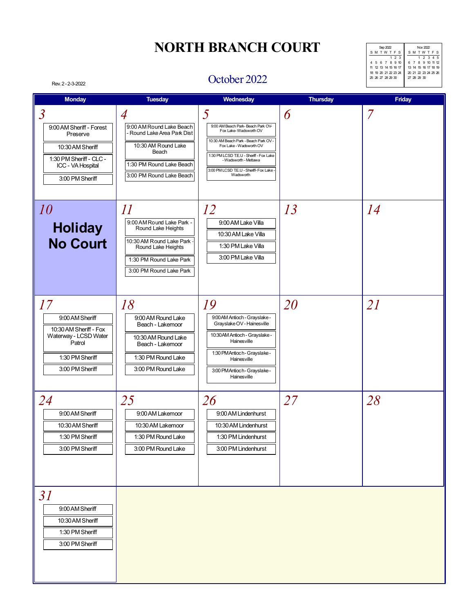| Sep 2022             | Nov 2022             |
|----------------------|----------------------|
| <b>SMTWTFS</b>       | SMTWTFS              |
| 123                  | 1 2 3 4 5            |
| 4 5 6 7 8 9 10       | 6 7 8 9 10 11 12     |
| 11 12 13 14 15 16 17 | 13 14 15 16 17 18 19 |
| 18 19 20 21 22 23 24 | 20 21 22 23 24 25 26 |
| 25 26 27 28 29 30    | 27 28 29 30          |
|                      |                      |

#### October 2022

| <b>Monday</b>                                                                                                                                 | <b>Tuesday</b>                                                                                                                                                        | Wednesday                                                                                                                                                                                                                                                      | <b>Thursday</b> | <b>Friday</b> |
|-----------------------------------------------------------------------------------------------------------------------------------------------|-----------------------------------------------------------------------------------------------------------------------------------------------------------------------|----------------------------------------------------------------------------------------------------------------------------------------------------------------------------------------------------------------------------------------------------------------|-----------------|---------------|
| $\overline{3}$<br>9:00 AM Sheriff - Forest<br>Preserve<br>10:30 AM Sheriff<br>1:30 PM Sheriff - CLC -<br>ICC - VA Hospital<br>3:00 PM Sheriff | $\overline{A}$<br>9:00 AM Round Lake Beach<br>- Round Lake Area Park Dist<br>10:30 AM Round Lake<br>Beach<br>1:30 PM Round Lake Beach<br>3:00 PM Round Lake Beach     | 5<br>9:00 AM Beach Park-Beach Park OV-<br>Fox Lake-Wadsworth OV<br>10:30 AM Beach Park - Beach Park OV -<br>Fox Lake - Wadsworth OV<br>1:30 PM LCSD T.E.U - Sheriff - Fox Lake<br>- Wadsworth - Mettawa<br>3:00 PM LCSD T.E.U - Sheriff- Fox Lake<br>Wadsworth | 6               | 7             |
| 10<br><b>Holiday</b><br><b>No Court</b>                                                                                                       | $\varPi$<br>9:00 AM Round Lake Park -<br>Round Lake Heights<br>10:30 AM Round Lake Park -<br>Round Lake Heights<br>1:30 PM Round Lake Park<br>3:00 PM Round Lake Park | 12<br>9:00 AM Lake Villa<br>10:30 AM Lake Villa<br>1:30 PM Lake Villa<br>3:00 PM Lake Villa                                                                                                                                                                    | 13              | 14            |
| 17<br>9:00 AM Sheriff<br>10:30 AM Sheriff - Fox<br>Waterway - LCSD Water<br>Patrol<br>1:30 PM Sheriff<br>3:00 PM Sheriff                      | 18<br>9:00 AM Round Lake<br>Beach - Lakemoor<br>10:30 AM Round Lake<br>Beach - Lakemoor<br>1:30 PM Round Lake<br>3:00 PM Round Lake                                   | 19<br>9:00 AM Antioch - Grayslake -<br>Grayslake OV - Hainesville<br>10:30 AM Antioch - Grayslake -<br>Hainesville<br>1:30 PM Antioch - Grayslake -<br>Hainesville<br>3:00 PM Antioch - Grayslake -<br>Hainesville                                             | 20              | 21            |
| 24<br>9:00 AM Sheriff<br>10:30 AM Sheriff<br>1:30 PM Sheriff<br>3:00 PM Sheriff                                                               | 25<br>9:00 AM Lakemoor<br>10:30 AM Lakemoor<br>1:30 PM Round Lake<br>3:00 PM Round Lake                                                                               | 26<br>9:00 AM Lindenhurst<br>10:30 AM Lindenhurst<br>1:30 PM Lindenhurst<br>3:00 PM Lindenhurst                                                                                                                                                                | 27              | 28            |
| 31<br>9:00 AM Sheriff<br>10:30 AM Sheriff<br>1:30 PM Sheriff<br>3:00 PM Sheriff                                                               |                                                                                                                                                                       |                                                                                                                                                                                                                                                                |                 |               |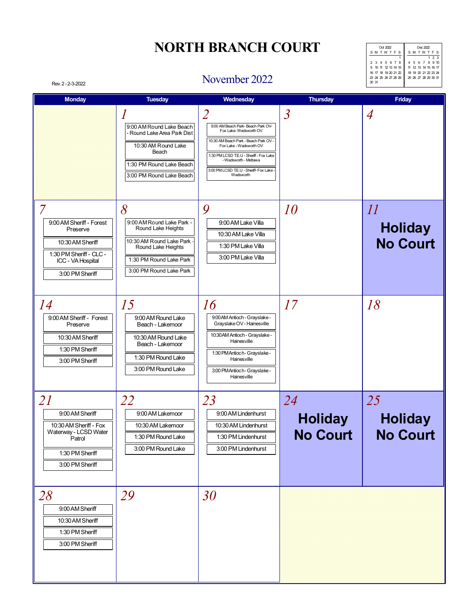| Ort 2022             | Dec 2022             |  |  |  |
|----------------------|----------------------|--|--|--|
| <b>SMTWTFS</b>       | SMTWTFS              |  |  |  |
|                      | 123                  |  |  |  |
| 2 3 4 5 6 7 8        | 4 5 6 7 8 9 10       |  |  |  |
| 9 10 11 12 13 14 15  | 11 12 13 14 15 16 17 |  |  |  |
| 16 17 18 19 20 21 22 | 18 19 20 21 22 23 24 |  |  |  |
| 23 24 25 26 27 28 29 | 25 26 27 28 29 30 31 |  |  |  |
| 30 31                |                      |  |  |  |
|                      |                      |  |  |  |

#### Rev. 2 - 2-3-2022 November 2022

| <b>Monday</b>                                                                                                                                 | <b>Tuesday</b>                                                                                                                                               | Wednesday                                                                                                                                                                                                                                                                                | <b>Thursday</b>                         | <b>Friday</b>                                |
|-----------------------------------------------------------------------------------------------------------------------------------------------|--------------------------------------------------------------------------------------------------------------------------------------------------------------|------------------------------------------------------------------------------------------------------------------------------------------------------------------------------------------------------------------------------------------------------------------------------------------|-----------------------------------------|----------------------------------------------|
|                                                                                                                                               | 9:00 AM Round Lake Beach<br>- Round Lake Area Park Dist<br>10:30 AM Round Lake<br>Beach<br>1:30 PM Round Lake Beach<br>3:00 PM Round Lake Beach              | $\overline{\mathcal{Z}}$<br>9:00 AM Beach Park- Beach Park OV-<br>Fox Lake-Wadsworth OV<br>10:30 AM Beach Park - Beach Park OV -<br>Fox Lake - Wadsworth OV<br>1:30 PM LCSD T.E.U - Sheriff - Fox Lake<br>- Wadsworth - Mettawa<br>3:00 PM LCSD T.E.U - Sheriff- Fox Lake -<br>Wadsworth | $\overline{\mathcal{S}}$                | $\overline{A}$                               |
| $\overline{7}$<br>9:00 AM Sheriff - Forest<br>Preserve<br>10:30 AM Sheriff<br>1:30 PM Sheriff - CLC -<br>ICC - VA Hospital<br>3:00 PM Sheriff | 8<br>9:00 AM Round Lake Park -<br>Round Lake Heights<br>10:30 AM Round Lake Park<br>Round Lake Heights<br>1:30 PM Round Lake Park<br>3:00 PM Round Lake Park | 9<br>9:00 AM Lake Villa<br>10:30 AM Lake Villa<br>1:30 PM Lake Villa<br>3:00 PM Lake Villa                                                                                                                                                                                               | <i>10</i>                               | $\iint$<br><b>Holiday</b><br><b>No Court</b> |
| 14<br>9:00 AM Sheriff - Forest<br>Preserve<br>10:30 AM Sheriff<br>1:30 PM Sheriff<br>3:00 PM Sheriff                                          | 15<br>9:00 AM Round Lake<br>Beach - Lakemoor<br>10:30 AM Round Lake<br>Beach - Lakemoor<br>1:30 PM Round Lake<br>3:00 PM Round Lake                          | 16<br>9:00 AM Antioch - Grayslake -<br>Grayslake OV - Hainesville<br>10:30 AM Antioch - Grayslake -<br>Hainesville<br>1:30 PM Antioch - Grayslake -<br>Hainesville<br>3:00 PM Antioch - Grayslake -<br>Hainesville                                                                       | 17                                      | 18                                           |
| 21<br>9:00 AM Sheriff<br>10:30 AM Sheriff - Fox<br>Waterway - LCSD Water<br>Patrol<br>1:30 PM Sheriff<br>3:00 PM Sheriff                      | 22<br>9:00 AM Lakemoor<br>10:30 AM Lakemoor<br>1:30 PM Round Lake<br>3:00 PM Round Lake                                                                      | 23<br>9:00 AM Lindenhurst<br>10:30 AM Lindenhurst<br>1:30 PM Lindenhurst<br>3:00 PM Lindenhurst                                                                                                                                                                                          | 24<br><b>Holiday</b><br><b>No Court</b> | 25<br><b>Holiday</b><br><b>No Court</b>      |
| 28<br>9:00 AM Sheriff<br>10:30 AM Sheriff<br>1:30 PM Sheriff<br>3:00 PM Sheriff                                                               | <i>29</i>                                                                                                                                                    | 30                                                                                                                                                                                                                                                                                       |                                         |                                              |